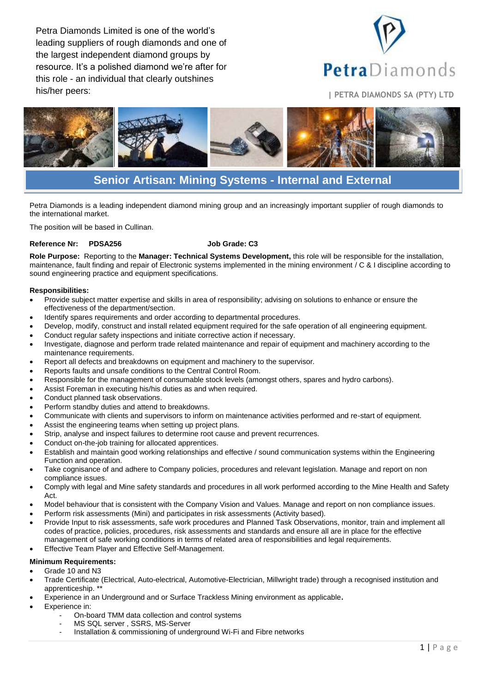Petra Diamonds Limited is one of the world's leading suppliers of rough diamonds and one of the largest independent diamond groups by resource. It's a polished diamond we're after for this role - an individual that clearly outshines his/her peers: **<sup>|</sup> PETRA DIAMONDS SA (PTY) LTD**





# **Senior Artisan: Mining Systems - Internal and External**

Petra Diamonds is a leading independent diamond mining group and an increasingly important supplier of rough diamonds to the international market.

The position will be based in Cullinan.

# **Reference Nr: PDSA256 Job Grade: C3**

**Role Purpose:** Reporting to the **Manager: Technical Systems Development,** this role will be responsible for the installation, maintenance, fault finding and repair of Electronic systems implemented in the mining environment / C & I discipline according to sound engineering practice and equipment specifications.

#### **Responsibilities:**

- Provide subject matter expertise and skills in area of responsibility; advising on solutions to enhance or ensure the effectiveness of the department/section.
- Identify spares requirements and order according to departmental procedures.
- Develop, modify, construct and install related equipment required for the safe operation of all engineering equipment.
- Conduct regular safety inspections and initiate corrective action if necessary.
- Investigate, diagnose and perform trade related maintenance and repair of equipment and machinery according to the maintenance requirements.
- Report all defects and breakdowns on equipment and machinery to the supervisor.
- Reports faults and unsafe conditions to the Central Control Room.
- Responsible for the management of consumable stock levels (amongst others, spares and hydro carbons).
- Assist Foreman in executing his/his duties as and when required.
- Conduct planned task observations.
- Perform standby duties and attend to breakdowns.
- Communicate with clients and supervisors to inform on maintenance activities performed and re-start of equipment.
- Assist the engineering teams when setting up project plans.
- Strip, analyse and inspect failures to determine root cause and prevent recurrences.
- Conduct on-the-job training for allocated apprentices.
- Establish and maintain good working relationships and effective / sound communication systems within the Engineering Function and operation.
- Take cognisance of and adhere to Company policies, procedures and relevant legislation. Manage and report on non compliance issues.
- Comply with legal and Mine safety standards and procedures in all work performed according to the Mine Health and Safety Act.
- Model behaviour that is consistent with the Company Vision and Values. Manage and report on non compliance issues.
- Perform risk assessments (Mini) and participates in risk assessments (Activity based).
- Provide Input to risk assessments, safe work procedures and Planned Task Observations, monitor, train and implement all codes of practice, policies, procedures, risk assessments and standards and ensure all are in place for the effective management of safe working conditions in terms of related area of responsibilities and legal requirements. Effective Team Player and Effective Self-Management.

# **Minimum Requirements:**

# Grade 10 and N3

- Trade Certificate (Electrical, Auto-electrical, Automotive-Electrician, Millwright trade) through a recognised institution and apprenticeship. \*\*
- Experience in an Underground and or Surface Trackless Mining environment as applicable**.**
- Experience in:
	- On-board TMM data collection and control systems
	- MS SQL server, SSRS, MS-Server
	- Installation & commissioning of underground Wi-Fi and Fibre networks